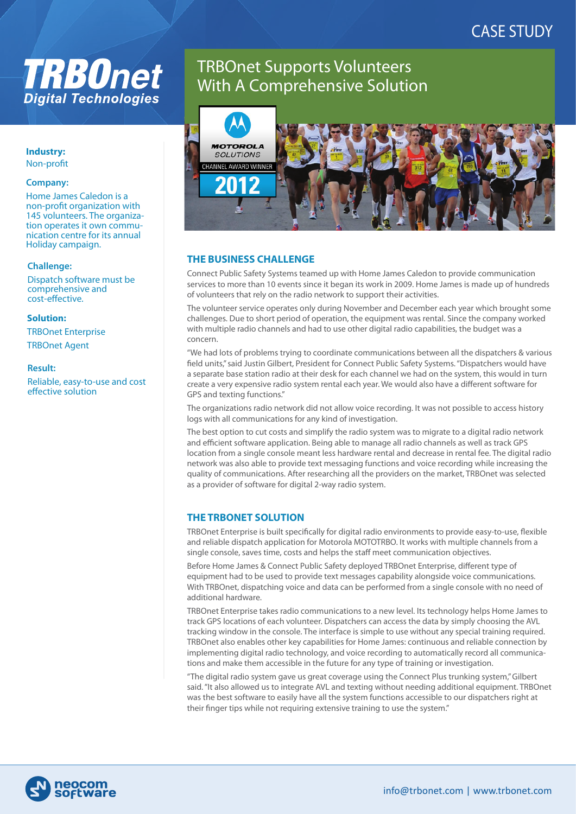# CASE STUDY

# **TRB0net Digital Technologies**

#### **Industry:**  Non-profit

#### **Company:**

Home James Caledon is a non-profit organization with 145 volunteers. The organization operates it own communication centre for its annual Holiday campaign.

#### **Challenge:**

Dispatch software must be comprehensive and cost-effective.

#### **Solution:**

TRBOnet Enterprise TRBOnet Agent

#### **Result:**

Reliable, easy-to-use and cost effective solution

# TRBOnet Supports Volunteers With A Comprehensive Solution



# **THE BUSINESS CHALLENGE**

Connect Public Safety Systems teamed up with Home James Caledon to provide communication services to more than 10 events since it began its work in 2009. Home James is made up of hundreds of volunteers that rely on the radio network to support their activities.

The volunteer service operates only during November and December each year which brought some challenges. Due to short period of operation, the equipment was rental. Since the company worked with multiple radio channels and had to use other digital radio capabilities, the budget was a concern.

"We had lots of problems trying to coordinate communications between all the dispatchers & various field units," said Justin Gilbert, President for Connect Public Safety Systems. "Dispatchers would have a separate base station radio at their desk for each channel we had on the system, this would in turn create a very expensive radio system rental each year. We would also have a different software for GPS and texting functions."

The organizations radio network did not allow voice recording. It was not possible to access history logs with all communications for any kind of investigation.

The best option to cut costs and simplify the radio system was to migrate to a digital radio network and efficient software application. Being able to manage all radio channels as well as track GPS location from a single console meant less hardware rental and decrease in rental fee. The digital radio network was also able to provide text messaging functions and voice recording while increasing the quality of communications. After researching all the providers on the market, TRBOnet was selected as a provider of software for digital 2-way radio system.

# **THE TRBONET SOLUTION**

TRBOnet Enterprise is built specifically for digital radio environments to provide easy-to-use, flexible and reliable dispatch application for Motorola MOTOTRBO. It works with multiple channels from a single console, saves time, costs and helps the staff meet communication objectives.

Before Home James & Connect Public Safety deployed TRBOnet Enterprise, different type of equipment had to be used to provide text messages capability alongside voice communications. With TRBOnet, dispatching voice and data can be performed from a single console with no need of additional hardware.

TRBOnet Enterprise takes radio communications to a new level. Its technology helps Home James to track GPS locations of each volunteer. Dispatchers can access the data by simply choosing the AVL tracking window in the console. The interface is simple to use without any special training required. TRBOnet also enables other key capabilities for Home James: continuous and reliable connection by implementing digital radio technology, and voice recording to automatically record all communications and make them accessible in the future for any type of training or investigation.

"The digital radio system gave us great coverage using the Connect Plus trunking system," Gilbert said. "It also allowed us to integrate AVL and texting without needing additional equipment. TRBOnet was the best software to easily have all the system functions accessible to our dispatchers right at their finger tips while not requiring extensive training to use the system."